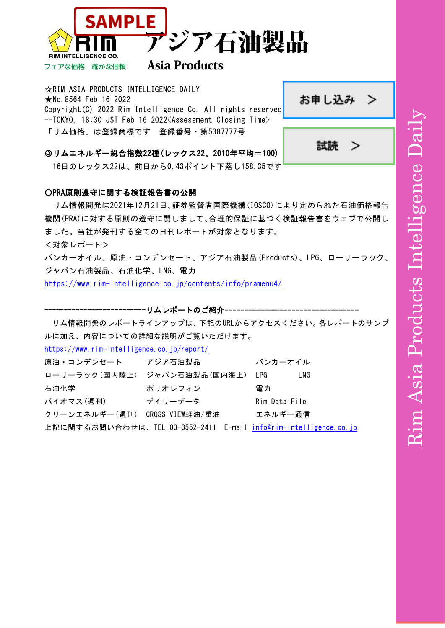



# **Asia Products**

☆RIM ASIA PRODUCTS INTELLIGENCE DAILY ★No.8564 Feb 16 2022 Copyright(C) 2022 Rim Intelligence Co. All rights reserved[.](https://www.rim-intelligence.co.jp/contact/member/) --TOKYO, 18:30 JST Feb 16 2022<Assessment Closing Time> 「リム価格」は登録商標です 登録番号・第5387777号

> 試読 ⋗

お申し込み >

◎リムエネルギー総合指数22種(レックス22、2010年平均=100)

16日のレックス22は、前日から0.43ポイント下落し158.35です

# ○PRA原則遵守に関する検証報告書の公開

リム情報開発は2021年12月21日、証券監督者国際機構(IOSCO)により定められた石油価格報告 機関(PRA)に対する原則の遵守に関しまして、合理的保証に基づく検証報告書をウェブで公開し ました。当社が発刊する全ての日刊レポートが対象となります。

<対象レポート>

バンカーオイル、原油・コンデンセート、アジア石油製品(Products)、LPG、ローリーラック、 ジャパン石油製品、石油化学、LNG、電力

<https://www.rim-intelligence.co.jp/contents/info/pramenu4/>

-----------リムレポートのご紹介-

リム情報開発のレポートラインアップは、下記のURLからアクセスください。各レポートのサンプ ルに加え、内容についての詳細な説明がご覧いただけます。

<https://www.rim-intelligence.co.jp/report/>

| 原油・コンデンセート アジア石油製品            |                                                                   | バンカーオイル       |
|-------------------------------|-------------------------------------------------------------------|---------------|
|                               | ローリーラック(国内陸上) ジャパン石油製品(国内海上) LPG                                  | LNG           |
| 石油化学                          | ポリオレフィン                                                           | 雷力            |
| バイオマス(週刊)                     | デイリーデータ                                                           | Rim Data File |
| クリーンエネルギー(週刊) CROSS VIEW軽油/重油 |                                                                   | エネルギー通信       |
|                               | 上記に関するお問い合わせは、TEL 03-3552-2411 E-mail info@rim-intelligence.co.jp |               |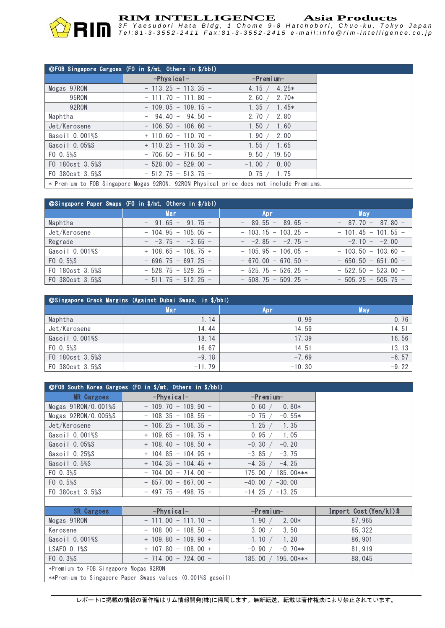

# **RIM INTELLIGENCE** Asia Products<br>3F Yaesudori Hata Bldg, 1 Chome 9-8 Hatchobori, Chuo-ku, Tokyo Japar

Tel:81-3-3552-2411 Fax:81-3-3552-2415 e-mail:info@rim-intelligence.co.jp

|                                                                                       | ©FOB Singapore Cargoes (FO in \$/mt, Others in \$/bbl) |                     |  |
|---------------------------------------------------------------------------------------|--------------------------------------------------------|---------------------|--|
|                                                                                       | $-$ Physical $-$                                       | $-$ Premium $-$     |  |
| Mogas 97RON                                                                           | $-113.25 - 113.35 -$                                   | $4.25*$<br>4.15 $/$ |  |
| 95RON                                                                                 | $-111.70 - 111.80 -$                                   | $2.70*$<br>2.60 $/$ |  |
| 92RON                                                                                 | $-109.05 - 109.15 -$                                   | $1.45*$<br>1.35 /   |  |
| Naphtha                                                                               | $-$ 94.40 - 94.50 -                                    | 2.80<br>2.70/       |  |
| Jet/Kerosene                                                                          | $-106.50 - 106.60 -$                                   | 1.60<br>1.50 /      |  |
| Gasoil 0.001%S                                                                        | $+$ 110.60 - 110.70 +                                  | 1.90 /<br>2.00      |  |
| Gasoil $0.05\%$ S                                                                     | $+$ 110.25 - 110.35 +                                  | 1.65<br>1.55 /      |  |
| FO 0.5%S                                                                              | $-706.50 - 716.50 -$                                   | 9.50 / 19.50        |  |
| F0 180cst 3.5%S                                                                       | $-528.00 - 529.00 -$                                   | 0.00<br>$-1.00 /$   |  |
| F0 380cst 3.5%S                                                                       | $-512.75 - 513.75 -$                                   | 0.75 / 1.75         |  |
| * Promium to FOR Singapore Mogas 02PON 02PON Physical price does not include Promiums |                                                        |                     |  |

\* Premium to FOB Singapore Mogas 92RON. 92RON Physical price does not include Premiums.

| ©Singapore Paper Swaps (FO in \$/mt, Others in \$/bbl) |                             |                             |                      |  |
|--------------------------------------------------------|-----------------------------|-----------------------------|----------------------|--|
|                                                        | Mar                         | Apr.                        | <b>May</b>           |  |
| Naphtha                                                | $-$ 91.65 - 91.75 -         | $-89.55 - 89.65 -$          | $-87.70 - 87.80 -$   |  |
| Jet/Kerosene                                           | $-104.95 - 105.05 -$        | $-103.15 - 103.25 -$        | $-101.45 - 101.55 -$ |  |
| Regrade                                                | $ -3.75 - -3.65 -$          | $ -2.85 - -2.75 -$          | $-2.10 - -2.00$      |  |
| Gasoil 0.001%S                                         | $+$ 108.65 - 108.75 +       | $-105.95 - 106.05 -$        | $-103.50 - 103.60 -$ |  |
| $F0 \t0.5%$                                            | $-696.75 - 697.25 -$        | $-670.00 - 670.50 -$        | $-650.50 - 651.00 -$ |  |
| F0 180cst 3.5%S                                        | $-528.75 - 529.25 -$        | $-525.75 - 526.25 -$        | $-522.50 - 523.00 -$ |  |
| FO 380cst 3.5%S                                        | $-511$ , 75 $-512$ , 25 $-$ | $-508$ , 75 $-509$ , 25 $-$ | $-505.25 - 505.75 -$ |  |

| ©Singapore Crack Margins (Against Dubai Swaps, in \$/bbl) |          |          |            |  |
|-----------------------------------------------------------|----------|----------|------------|--|
|                                                           | Mari     | Apr      | <b>May</b> |  |
| Naphtha                                                   | 1.14     | 0.99     | 0.76       |  |
| Jet/Kerosene                                              | 14.44    | 14.59    | 14.51      |  |
| Gasoil 0.001%S                                            | 18.14    | 17.39    | 16.56      |  |
| FO 0.5%S                                                  | 16.67    | 14.51    | 13.13      |  |
| F0 180cst 3.5%S                                           | $-9.18$  | $-7.69$  | $-6.57$    |  |
| FO 380cst 3.5%S                                           | $-11.79$ | $-10.30$ | $-9.22$    |  |

| ©FOB South Korea Cargoes (FO in \$/mt, Others in \$/bbl) |                         |                       |                       |  |
|----------------------------------------------------------|-------------------------|-----------------------|-----------------------|--|
| <b>MR Cargoes</b>                                        | $-$ Physical-           | $-$ Premium $-$       |                       |  |
| Mogas $91$ RON/0.001%S                                   | $-109, 70 - 109, 90 -$  | 0.60 /<br>$0.80*$     |                       |  |
| Mogas $92$ RON $/0.005$ %S                               | $-108.35 - 108.55 -$    | $-0.75/$<br>$-0.55*$  |                       |  |
| Jet/Kerosene                                             | $-106, 25 - 106, 35 -$  | 1.25<br>1.35          |                       |  |
| Gasoil 0.001%S                                           | $+$ 109.65 - 109.75 +   | 1.05<br>0.95          |                       |  |
| Gasoil 0.05%S                                            | $+$ 108, 40 - 108, 50 + | $-0.30$<br>$-0.20$    |                       |  |
| Gasoil 0.25%S                                            | $+$ 104, 85 - 104, 95 + | $-3.85$<br>$-3.75$    |                       |  |
| Gasoil 0.5%S                                             | $+$ 104, 35 - 104, 45 + | $-4.25$<br>$-4.35/$   |                       |  |
| FO 0.3%S                                                 | $-704.00 - 714.00 -$    | 185.00***<br>175.00 / |                       |  |
| FO 0.5%S                                                 | $-657.00 - 667.00 -$    | $-40.00 / -30.00$     |                       |  |
| FO 380cst 3.5%S                                          | $-497, 75 - 498, 75 -$  | $-14.25 / -13.25$     |                       |  |
|                                                          |                         |                       |                       |  |
| <b>SR Cargoes</b>                                        | $-$ Physical-           | $-$ Premium $-$       | Import Cost (Yen/kl)# |  |
| Mogas 91RON                                              | $-111.00 - 111.10 -$    | 1.90<br>$2.00*$       | 87, 965               |  |
| Kerosene                                                 | $-108,00 - 108,50 -$    | 3.50<br>3.00 /        | 85, 322               |  |
| Gasoil 0.001%S                                           | $+$ 109.80 - 109.90 +   | 1.10 /<br>1.20        | 86, 901               |  |
| $LSAFO$ $0.1%S$                                          | $+$ 107, 80 - 108, 00 + | $-0.70**$<br>$-0.90/$ | 81, 919               |  |
| FO 0.3%S                                                 | $-714.00 - 724.00 -$    | 185.00 /<br>195.00*** | 88,045                |  |
| *Premium to FOB Singapore Mogas 92RON                    |                         |                       |                       |  |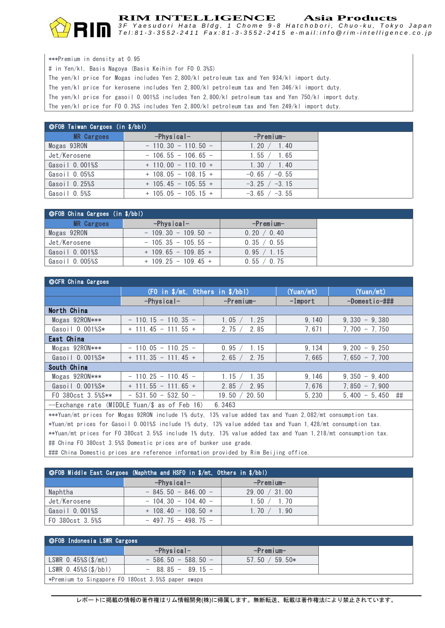#### **RIM INTELLIGENCE Asia Products**

*3 F Y a e s u d o r i H a t a B l d g , 1 C h o m e 9 - 8 H a t c h o b o r i , C h u o - k u , T o k y o J a p a n* Tel:81-3-3552-2411 Fax:81-3-3552-2415 e-mail:info@rim-intelligence.co.jp

| ***Premium in density at 0.95                                                                       |
|-----------------------------------------------------------------------------------------------------|
| # in Yen/kl. Basis Nagoya (Basis Keihin for FO 0.3%S)                                               |
| The yen/kl price for Mogas includes Yen 2,800/kl petroleum tax and Yen 934/kl import duty.          |
| The yen/kl price for kerosene includes Yen 2,800/kl petroleum tax and Yen 346/kl import duty.       |
| The yen/kl price for gasoil 0.001%S includes Yen 2.800/kl petroleum tax and Yen 750/kl import duty. |
| The yen/kl price for FO 0.3%S includes Yen 2,800/kl petroleum tax and Yen 249/kl import duty.       |

| <b>OFOB Taiwan Cargoes (in \$/bbl)</b> |                         |                   |  |  |
|----------------------------------------|-------------------------|-------------------|--|--|
| <b>MR Cargoes</b>                      | $-$ Physical $-$        | $-$ Premium $-$   |  |  |
| Mogas 93RON                            | $-110.30 - 110.50 -$    | 1.20 / 1.40       |  |  |
| Jet/Kerosene                           | $-106.55 - 106.65 -$    | 1.55 / 1.65       |  |  |
| Gasoil 0.001%S                         | $+$ 110, 00 - 110, 10 + | 1.30 / 1.40       |  |  |
| Gasoil 0.05%S                          | $+$ 108.05 - 108.15 +   | $-0.65$ / $-0.55$ |  |  |
| Gasoil 0.25%S                          | $+$ 105.45 - 105.55 +   | $-3.25$ / $-3.15$ |  |  |
| Gasoil 0.5%S                           | $+$ 105.05 - 105.15 +   | $-3.65 / -3.55$   |  |  |

| ◯ ⊙FOB China Cargoes (in \$/bbl) |                       |                 |  |
|----------------------------------|-----------------------|-----------------|--|
| <b>MR Cargoes</b>                | $-$ Physical $-$      | $-$ Premium $-$ |  |
| Mogas 92RON                      | $-109.30 - 109.50 -$  | 0.20 / 0.40     |  |
| Jet/Kerosene                     | $-105.35 - 105.55 -$  | 0.35 / 0.55     |  |
| Gasoil 0.001%S                   | $+$ 109.65 - 109.85 + | 0.95 / 1.15     |  |
| Gasoil O.005%S                   | $+$ 109.25 - 109.45 + | 0.55 / 0.75     |  |

| ©CFR China Cargoes                                      |                                                    |                 |            |                       |
|---------------------------------------------------------|----------------------------------------------------|-----------------|------------|-----------------------|
|                                                         | $(F0$ in $\sqrt[6]{m}t$ , Others in $\sqrt[6]{bb}$ |                 | (Yuan/mL)  | (Yuan/mL)             |
|                                                         | $-$ Physical $-$                                   | $-$ Premium $-$ | $-I$ mport | $-Domestic - # ##$    |
| North China                                             |                                                    |                 |            |                       |
| Mogas $92$ RON $***$                                    | $-110.15 - 110.35 -$                               | 1.05 /<br>1.25  | 9,140      | $9,330 - 9,380$       |
| Gasoil 0.001%S*                                         | $+$ 111, 45 - 111, 55 +                            | 2.75/<br>2.85   | 7,671      | $7.700 - 7.750$       |
| East China                                              |                                                    |                 |            |                       |
| Mogas $92$ RON $***$                                    | $-110.05 - 110.25 -$                               | 1.15<br>0.95    | 9, 134     | $9,200 - 9,250$       |
| Gasoil 0.001%S*                                         | $+$ 111, 35 - 111, 45 +                            | 2.65 /<br>2.75  | 7,665      | $7.650 - 7.700$       |
| South China                                             |                                                    |                 |            |                       |
| Mogas $92$ RON $***$                                    | $-110.25 - 110.45 -$                               | 1.15<br>1.35    | 9, 146     | $9,350 - 9,400$       |
| Gasoil 0.001%S*                                         | $+$ 111.55 - 111.65 +                              | 2.85 /<br>2.95  | 7.676      | $7.850 - 7.900$       |
| FO 380cst 3.5%S**                                       | $-531.50 - 532.50 -$                               | 20.50<br>19.50  | 5.230      | ##<br>$5.400 - 5.450$ |
| --Exchange rate (MIDDLE Yuan/\$ as of Feb 16)<br>6.3463 |                                                    |                 |            |                       |

\*\*\*Yuan/mt prices for Mogas 92RON include 1% duty, 13% value added tax and Yuan 2,082/mt consumption tax. \*Yuan/mt prices for Gasoil 0.001%S include 1% duty, 13% value added tax and Yuan 1,428/mt consumption tax. \*\*Yuan/mt prices for FO 380cst 3.5%S include 1% duty, 13% value added tax and Yuan 1,218/mt consumption tax. ## China FO 380cst 3.5%S Domestic prices are of bunker use grade.

### China Domestic prices are reference information provided by Rim Beijing office.

| ©FOB Middle East Cargoes (Naphtha and HSFO in \$/mt, Others in \$/bbl) |                       |                 |  |  |
|------------------------------------------------------------------------|-----------------------|-----------------|--|--|
|                                                                        | $-$ Physical $-$      | $-$ Premium $-$ |  |  |
| Naphtha                                                                | $-845.50 - 846.00 -$  | 29.00 / 31.00   |  |  |
| Jet/Kerosene                                                           | $-104.30 - 104.40 -$  | 1.50 / 1.70     |  |  |
| Gasoil 0.001%S                                                         | $+$ 108.40 - 108.50 + | 1, 70 / 1, 90   |  |  |
| FO 380cst 3.5%S                                                        | $-497.75 - 498.75 -$  |                 |  |  |

| │ ◎F0B Indonesia LSWR Cargoes                     |                      |                  |  |  |
|---------------------------------------------------|----------------------|------------------|--|--|
|                                                   | $-$ Physical $-$     | -Premium-        |  |  |
| $LSWR$ 0.45% $S(S/mt)$                            | $-586.50 - 588.50 -$ | $57.50 / 59.50*$ |  |  |
| LSWR $0.45\%$ S $(\frac{\pi}{b}$ bbl)             | $-88.85 - 89.15 -$   |                  |  |  |
| *Premium to Singapore FO 180cst 3.5%S paper swaps |                      |                  |  |  |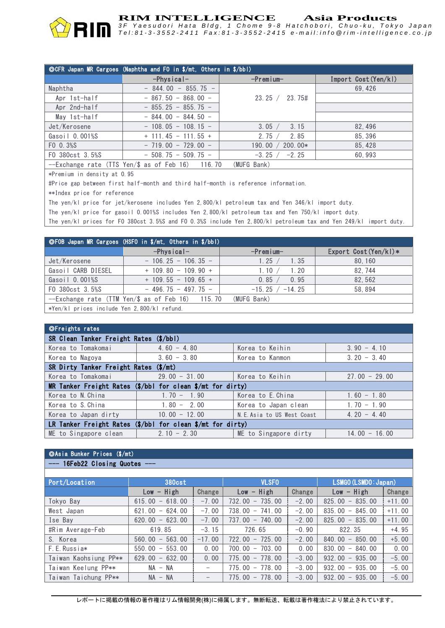

**RIM INTELLIGENCE Asia Products**

*3 F Y a e s u d o r i H a t a B l d g , 1 C h o m e 9 - 8 H a t c h o b o r i , C h u o - k u , T o k y o J a p a n* Tel:81-3-3552-2411 Fax:81-3-3552-2415 e-mail:info@rim-intelligence.co.jp

| ©CFR Japan MR Cargoes (Naphtha and FO in \$/mt, Others in \$/bbl)        |                         |                         |                     |  |
|--------------------------------------------------------------------------|-------------------------|-------------------------|---------------------|--|
|                                                                          | $-$ Physical-           | $-$ Premium $-$         | Import Cost(Yen/kl) |  |
| Naphtha                                                                  | $-844.00 - 855.75 -$    |                         | 69.426              |  |
| Apr 1st-half                                                             | $-867.50 - 868.00 -$    | 23.25 / 23.75#          |                     |  |
| Apr 2nd-half                                                             | $-855.25 - 855.75 -$    |                         |                     |  |
| May 1st-half                                                             | $-844.00 - 844.50 -$    |                         |                     |  |
| Jet/Kerosene                                                             | $-108.05 - 108.15 -$    | 3.15<br>3.05 /          | 82.496              |  |
| Gasoil 0.001%S                                                           | $+$ 111, 45 - 111, 55 + | 2.75/<br>2.85           | 85.396              |  |
| FO 0.3%S                                                                 | $-719.00 - 729.00 -$    | 190.00 $/$<br>$200.00*$ | 85, 428             |  |
| FO 380cst 3.5%S                                                          | $-508.75 - 509.75 -$    | $-3.25 /$<br>$-2.25$    | 60.993              |  |
| $\Gamma$ . I . (TTO V . / n $\Gamma$ I . 10) . 110 . 70<br>$\mathcal{L}$ |                         |                         |                     |  |

--Exchange rate (TTS Yen/\$ as of Feb 16) 116.70 (MUFG Bank)

\*Premium in density at 0.95

#Price gap between first half-month and third half-month is reference information.

\*\*Index price for reference

The yen/kl price for jet/kerosene includes Yen 2,800/kl petroleum tax and Yen 346/kl import duty.

The yen/kl price for gasoil 0.001%S includes Yen 2,800/kl petroleum tax and Yen 750/kl import duty.

The yen/kl prices for FO 380cst 3.5%S and FO 0.3%S include Yen 2,800/kl petroleum tax and Yen 249/kl import duty.

| ©FOB Japan MR Cargoes (HSFO in \$/mt, Others in \$/bbl) |                                                  |                   |                       |  |
|---------------------------------------------------------|--------------------------------------------------|-------------------|-----------------------|--|
|                                                         | $-Physical-$                                     | $-$ Premium $-$   | Export Cost (Yen/kl)* |  |
| Jet/Kerosene                                            | $-106.25 - 106.35 -$                             | 1.25/<br>1.35     | 80.160                |  |
| Gasoil CARB DIESEL                                      | $+$ 109 80 - 109 90 +                            | 1.10 /<br>1.20    | 82.744                |  |
| Gasoil 0.001%S                                          | $+$ 109.55 - 109.65 +                            | 0.95<br>0.85 /    | 82.562                |  |
| F0 380cst 3.5%S                                         | $-496.75 - 497.75 -$                             | $-15.25 / -14.25$ | 58.894                |  |
|                                                         | --Exchange rate (TTM Yen/\$ as of Feb 16) 115.70 | (MUFG Bank)       |                       |  |
| *Yen/kl prices include Yen 2,800/kl refund.             |                                                  |                   |                       |  |

| <b>OFreights rates</b>                                                            |                 |                            |                 |  |
|-----------------------------------------------------------------------------------|-----------------|----------------------------|-----------------|--|
| SR Clean Tanker Freight Rates (\$/bbl)                                            |                 |                            |                 |  |
| Korea to Tomakomai                                                                | $4,60 - 4,80$   | Korea to Keihin            | $3.90 - 4.10$   |  |
| Korea to Nagoya                                                                   | $3.60 - 3.80$   | Korea to Kanmon            | $3.20 - 3.40$   |  |
| $(\frac{\epsilon}{\pi})$<br>SR Dirty Tanker Freight Rates                         |                 |                            |                 |  |
| Korea to Tomakomai                                                                | $29.00 - 31.00$ | Korea to Keihin            | $27.00 - 29.00$ |  |
| MR Tanker Freight Rates $(\frac{2}{b})$ bbl for clean $\frac{2}{b}$ mt for dirty) |                 |                            |                 |  |
| Korea to N. China                                                                 | $1.70 - 1.90$   | Korea to E. China          | $1.60 - 1.80$   |  |
| Korea to S. China                                                                 | $1.80 - 2.00$   | Korea to Japan clean       | $1.70 - 1.90$   |  |
| Korea to Japan dirty                                                              | $10.00 - 12.00$ | N.E. Asia to US West Coast | $4, 20 - 4, 40$ |  |
| LR Tanker Freight Rates $(\frac{s}{bb}$ for clean $\frac{s}{mt}$ for dirty)       |                 |                            |                 |  |
| ME to Singapore clean                                                             | $2.10 - 2.30$   | ME to Singapore dirty      | $14.00 - 16.00$ |  |

# ◎Asia Bunker Prices (\$/mt)

- 16Feb22 Closing Quotes -

| Port/Location         | <b>380cst</b>     |                          | <b>VLSFO</b>      |         | LSMGO (LSMDO: Japan)                         |          |
|-----------------------|-------------------|--------------------------|-------------------|---------|----------------------------------------------|----------|
|                       | $Low - High$      | Change                   | $Low - High$      | Change  | $Low - High$                                 | Change   |
| Tokyo Bay             | $615.00 - 618.00$ | $-7.00$                  | $732.00 - 735.00$ | $-2.00$ | 825.00<br>$-835.00$                          | $+11.00$ |
| West Japan            | $621.00 - 624.00$ | $-7.00$                  | $738.00 - 741.00$ | $-2.00$ | $835,00 - 845,00$                            | $+11.00$ |
| Ise Bay               | $620.00 - 623.00$ | $-7.00$                  | $737.00 - 740.00$ | $-2.00$ | $825.00 - 835.00$                            | $+11.00$ |
| #Rim Average-Feb      | 619.85            | $-3.15$                  | 726.65            | $-0.90$ | 822.35                                       | $+4.95$  |
| S. Korea              | $560.00 - 563.00$ | $-17.00$                 | $722.00 - 725.00$ | $-2.00$ | $-850.00$<br>840.00                          | $+5.00$  |
| F.E.Russia*           | $550.00 - 553.00$ | 0.00                     | $700.00 - 703.00$ | 0.00    | 830.00<br>$-840.00$                          | 0.00     |
| Taiwan Kaohsiung PP** | $629.00 - 632.00$ | 0.00                     | $775.00 - 778.00$ | $-3.00$ | 935.00<br>932.00<br>$\overline{\phantom{a}}$ | $-5.00$  |
| Taiwan Keelung PP**   | $NA - NA$         | $\overline{\phantom{m}}$ | $775.00 - 778.00$ | $-3.00$ | 935.00<br>932.00<br>$\overline{\phantom{a}}$ | $-5.00$  |
| Taiwan Taichung PP**  | $NA - NA$         |                          | $775.00 - 778.00$ | $-3.00$ | 932.00<br>$-935.00$                          | $-5.00$  |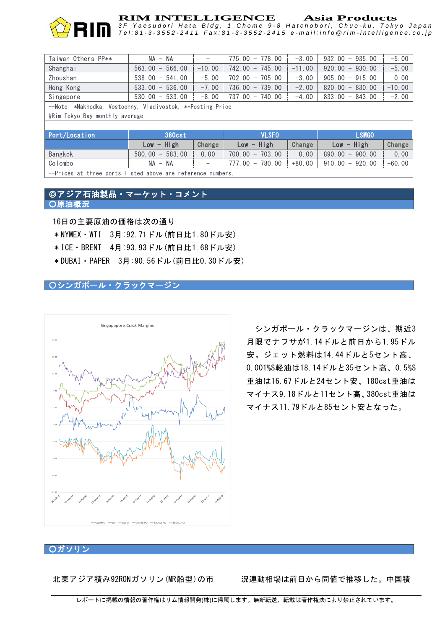

# **RIM INTELLIGENCE** Asia Products<br>3F Yaesudori Hata Bldg, 1 Chome 9-8 Hatchobori, Chuo-ku, Tokyo Japar

Tel:81-3-3552-2411 Fax:81-3-3552-2415 e-mail:info@rim-intelligence.co.jp

| Taiwan Others PP**                                         | $NA - NA$                                           | $\qquad \qquad$          | $775.00 - 778.00$                                   | $-3.00$  | 932.00<br>$-935.00$                          | $-5.00$  |
|------------------------------------------------------------|-----------------------------------------------------|--------------------------|-----------------------------------------------------|----------|----------------------------------------------|----------|
| Shanghai                                                   | 566.00<br>563.00<br>$\hspace{0.1mm}-\hspace{0.1mm}$ | $-10.00$                 | $742.00 - 745.00$                                   | $-11.00$ | $-930.00$<br>920.00                          | $-5.00$  |
| Zhoushan                                                   | 538.00<br>541.00<br>$\overline{\phantom{a}}$        | $-5.00$                  | $702.00 -$<br>705.00                                | $-3.00$  | $-915.00$<br>905.00                          | 0.00     |
| Hong Kong                                                  | $533.00 -$<br>536.00                                | $-7.00$                  | $736.00 -$<br>739.00                                | $-2.00$  | $-830.00$<br>820.00                          | $-10.00$ |
| Singapore                                                  | 533.00<br>$530.00 -$                                | $-8.00$                  | 737.00 - 740.00                                     | $-4.00$  | 833.00<br>$-843.00$                          | $-2.00$  |
| --Note: *Nakhodka, Vostochny, Vladivostok, **Posting Price |                                                     |                          |                                                     |          |                                              |          |
| #Rim Tokyo Bay monthly average                             |                                                     |                          |                                                     |          |                                              |          |
|                                                            |                                                     |                          |                                                     |          |                                              |          |
| Port/Location                                              | <b>380cst</b>                                       |                          | <b>VLSFO</b>                                        |          | <b>LSMGO</b>                                 |          |
|                                                            | High<br>Low<br>$\qquad \qquad -$                    | Change                   | $-$ High<br>Low                                     | Change   | $-$ High<br>Low                              | Change   |
| Bangkok                                                    | 583.00<br>580.00<br>$\overline{\phantom{m}}$        | 0.00                     | 703.00<br>700.00<br>$\hspace{0.1mm}-\hspace{0.1mm}$ | 0.00     | 890.00<br>900.00<br>$\overline{\phantom{m}}$ | 0.00     |
| Colombo                                                    | NA<br>NA<br>$\overline{\phantom{m}}$                | $\overline{\phantom{0}}$ | 780.00<br>777.00<br>$\overline{\phantom{m}}$        | $+80.00$ | 910.00<br>920.00<br>$-$                      | $+60.00$ |

--Prices at three ports listed above are reference numbers.

### ◎アジア石油製品・マーケット・コメント ○原油概況

16日の主要原油の価格は次の通り

\*NYMEX・WTI 3月:92.71ドル(前日比1.80ドル安)

\*ICE・BRENT 4月:93.93ドル(前日比1.68ドル安)

\*DUBAI・PAPER 3月:90.56ドル(前日比0.30ドル安)

### ○シンガポール・クラックマージン



シンガポール・クラックマージンは、期近3 月限でナフサが1.14ドルと前日から1.95ドル 安。ジェット燃料は14.44ドルと5セント高、 0.001%S軽油は18.14ドルと35セント高、0.5%S 重油は16.67ドルと24セント安、180cst重油は マイナス9.18ドルと11セント高、380cst重油は マイナス11.79ドルと85セント安となった。

#### ○ガソリン

北東アジア積み92RONガソリン(MR船型)の市 況連動相場は前日から同値で推移した。中国積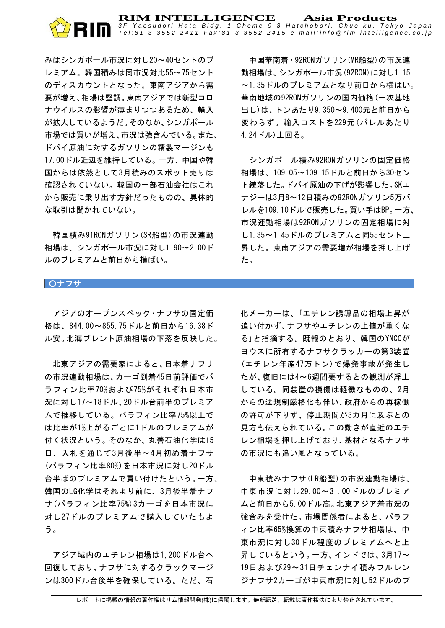みはシンガポール市況に対し20~40セントのプ レミアム。韓国積みは同市況対比55~75セント のディスカウントとなった。東南アジアから需 要が増え、相場は堅調。東南アジアでは新型コロ ナウイルスの影響が薄まりつつあるため、輸入 が拡大しているようだ。そのなか、シンガポール 市場では買いが増え、市況は強含んでいる。また、 ドバイ原油に対するガソリンの精製マージンも 17.00ドル近辺を維持している。一方、中国や韓 国からは依然として3月積みのスポット売りは 確認されていない。韓国の一部石油会社はこれ から販売に乗り出す方針だったものの、具体的 な取引は聞かれていない。

韓国積み91RONガソリン(SR船型)の市況連動 相場は、シンガポール市況に対し1.90~2.00ド ルのプレミアムと前日から横ばい。

中国華南着・92RONガソリン(MR船型)の市況連 動相場は、シンガポール市況(92RON)に対し1.15 ~1.35ドルのプレミアムとなり前日から横ばい。 華南地域の92RONガソリンの国内価格(一次基地 出し)は、トンあたり9,350~9,400元と前日から 変わらず。輸入コストを229元(バレルあたり 4.24ドル)上回る。

シンガポール積み92RONガソリンの固定価格 相場は、109.05~109.15ドルと前日から30セン ト続落した。ドバイ原油の下げが影響した。SKエ ナジーは3月8~12日積みの92RONガソリン5万バ レルを109.10ドルで販売した。買い手はBP。一方、 市況連動相場は92RONガソリンの固定相場に対 し1.35~1.45ドルのプレミアムと同55セント上 昇した。東南アジアの需要増が相場を押し上げ た。

#### ○ナフサ

アジアのオープンスペック・ナフサの固定価 格は、844.00~855.75ドルと前日から16.38ド ル安。北海ブレント原油相場の下落を反映した。

北東アジアの需要家によると、日本着ナフサ の市況連動相場は、カーゴ到着45日前評価でパ ラフィン比率70%および75%がそれぞれ日本市 況に対し17~18ドル、20ドル台前半のプレミア ムで推移している。パラフィン比率75%以上で は比率が1%上がるごとに1ドルのプレミアムが 付く状況という。そのなか、丸善石油化学は15 日、入札を通じて3月後半~4月初め着ナフサ (パラフィン比率80%)を日本市況に対し20ドル 台半ばのプレミアムで買い付けたという。一方、 韓国のLG化学はそれより前に、3月後半着ナフ サ(パラフィン比率75%)3カーゴを日本市況に 対し27ドルのプレミアムで購入していたもよ う。

アジア域内のエチレン相場は1,200ドル台へ 回復しており、ナフサに対するクラックマージ ンは300ドル台後半を確保している。ただ、石

化メーカーは、「エチレン誘導品の相場上昇が 追い付かず、ナフサやエチレンの上値が重くな る」と指摘する。既報のとおり、韓国のYNCCが ヨウスに所有するナフサクラッカーの第3装置 (エチレン年産47万トン)で爆発事故が発生し たが、復旧には4~6週間要するとの観測が浮上 している。同装置の損傷は軽微なものの、2月 からの法規制厳格化も伴い、政府からの再稼働 の許可が下りず、停止期間が3カ月に及ぶとの 見方も伝えられている。この動きが直近のエチ レン相場を押し上げており、基材となるナフサ の市況にも追い風となっている。

中東積みナフサ(LR船型)の市況連動相場は、 中東市況に対し29.00~31.00ドルのプレミア ムと前日から5.00ドル高。北東アジア着市況の 強含みを受けた。市場関係者によると、パラフ ィン比率65%換算の中東積みナフサ相場は、中 東市況に対し30ドル程度のプレミアムへと上 昇しているという。一方、インドでは、3月17~ 19日および29~31日チェンナイ積みフルレン ジナフサ2カーゴが中東市況に対し52ドルのプ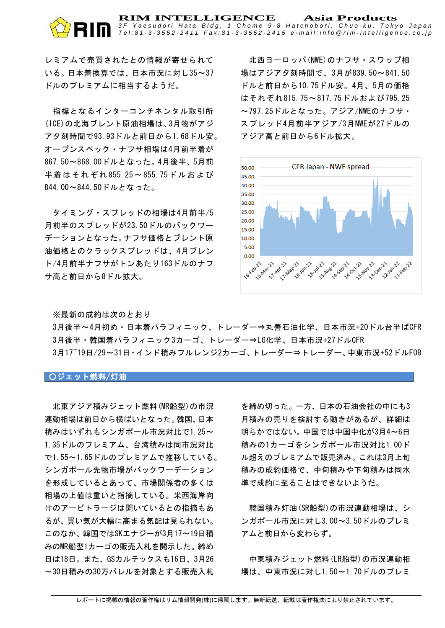**RIM INTELLIGENCE Asia Products** *3 F Y a e s u d o r i H a t a B l d g , 1 C h o m e 9 - 8 H a t c h o b o r i , C h u o - k u , T o k y o J a p a n* Tel:81-3-3552-2411 Fax:81-3-3552-2415 e-mail:info@rim-intelligence.co.jp

レミアムで売買されたとの情報が寄せられて いる。日本着換算では、日本市況に対し35~37 ドルのプレミアムに相当するようだ。

指標となるインターコンチネンタル取引所 (ICE)の北海ブレント原油相場は、3月物がアジ ア夕刻時間で93.93ドルと前日から1.68ドル安。 オープンスペック・ナフサ相場は4月前半着が 867.50~868.00ドルとなった。4月後半、5月前 半着はそれ ぞれ 855.25~855.75ドルおよ び 844.00~844.50ドルとなった。

タイミング・スプレッドの相場は4月前半/5 月前半のスプレッドが23.50ドルのバックワー デーションとなった。ナフサ価格とブレント原 油価格とのクラックスプレッドは、4月ブレン ト/4月前半ナフサがトンあたり163ドルのナフ サ高と前日から8ドル拡大。

北西ヨーロッパ(NWE)のナフサ・スワップ相 場はアジア夕刻時間で、3月が839.50~841.50 ドルと前日から10.75ドル安。4月、5月の価格 はそれぞれ815.75~817.75ドルおよび795.25 ~797.25ドルとなった。アジア/NWEのナフサ・ スプレッド4月前半アジア/3月NWEが27ドルの アジア高と前日から6ドル拡大。



※最新の成約は次のとおり

3月後半~4月初め・日本着パラフィニック、トレーダー⇒丸善石油化学、日本市況+20ドル台半ばCFR 3月後半・韓国着パラフィニック3カーゴ、トレーダー⇒LG化学、日本市況+27ドルCFR 3月17~19日/29~31日·インド積みフルレンジ2カーゴ、トレーダー⇒トレーダー、中東市況+52ドルFOB

#### ○ジェット燃料/灯油

北東アジア積みジェット燃料(MR船型)の市況 連動相場は前日から横ばいとなった。韓国、日本 積みはいずれもシンガポール市況対比で1.25~ 1.35ドルのプレミアム、台湾積みは同市況対比 で1.55~1.65ドルのプレミアムで推移している。 シンガポール先物市場がバックワーデーション を形成しているとあって、市場関係者の多くは 相場の上値は重いと指摘している。米西海岸向 けのアービトラージは開いているとの指摘もあ るが、買い気が大幅に高まる気配は見られない。 このなか、韓国ではSKエナジーが3月17~19日積 みのMR船型1カーゴの販売入札を開示した。締め 日は18日。また、GSカルテックスも16日、3月26 ~30日積みの30万バレルを対象とする販売入札

を締め切った。一方、日本の石油会社の中にも3 月積みの売りを検討する動きがあるが、詳細は 明らかではない。中国では中国中化が3月4~6日 積みの1カーゴをシンガポール市況対比1.00ド ル超えのプレミアムで販売済み。これは3月上旬 積みの成約価格で、中旬積みや下旬積みは同水 準で成約に至ることはできないようだ。

韓国積み灯油(SR船型)の市況連動相場は、シ ンガポール市況に対し3.00~3.50ドルのプレミ アムと前日から変わらず。

中東積みジェット燃料(LR船型)の市況連動相 場は、中東市況に対し1.50~1.70ドルのプレミ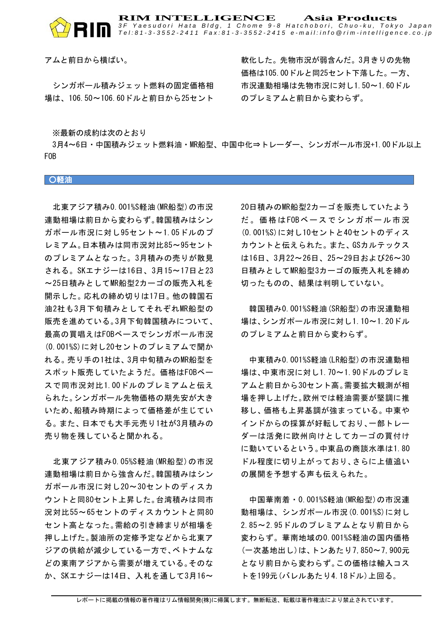

アムと前日から横ばい。

シンガポール積みジェット燃料の固定価格相 場は、106.50~106.60ドルと前日から25セント

軟化した。先物市況が弱含んだ。3月きりの先物 価格は105.00ドルと同25セント下落した。一方、 市況連動相場は先物市況に対し1.50~1.60ドル のプレミアムと前日から変わらず。

※最新の成約は次のとおり

3月4~6日・中国積みジェット燃料油・MR船型、中国中化⇒トレーダー、シンガポール市況+1.00ドル以上 FOB

○軽油

北東アジア積み0.001%S軽油(MR船型)の市況 連動相場は前日から変わらず。韓国積みはシン ガポール市況に対し95セント~1.05ドルのプ レミアム。日本積みは同市況対比85~95セント のプレミアムとなった。3月積みの売りが散見 される。SKエナジーは16日、3月15~17日と23 ~25日積みとしてMR船型2カーゴの販売入札を 開示した。応札の締め切りは17日。他の韓国石 油2社も3月下旬積みとしてそれぞれMR船型の 販売を進めている。3月下旬韓国積みについて、 最高の買唱えはFOBベースでシンガポール市況 (0.001%S)に対し20セントのプレミアムで聞か れる。売り手の1社は、3月中旬積みのMR船型を スポット販売していたようだ。価格はFOBベー スで同市況対比1.00ドルのプレミアムと伝え られた。シンガポール先物価格の期先安が大き いため、船積み時期によって価格差が生じてい る。また、日本でも大手元売り1社が3月積みの 売り物を残していると聞かれる。

北東アジア積み0.05%S軽油(MR船型)の市況 連動相場は前日から強含んだ。韓国積みはシン ガポール市況に対し20~30セントのディスカ ウントと同80セント上昇した。台湾積みは同市 況対比55~65セントのディスカウントと同80 セント高となった。需給の引き締まりが相場を 押し上げた。製油所の定修予定などから北東ア ジアの供給が減少している一方で、ベトナムな どの東南アジアから需要が増えている。そのな か、SKエナジーは14日、入札を通して3月16~

20日積みのMR船型2カーゴを販売していたよう だ。価格は FOBベ ー スで シ ン ガ ポ ー ル市 況 (0.001%S)に対し10セントと40セントのディス カウントと伝えられた。また、GSカルテックス は16日、3月22~26日、25~29日および26~30 日積みとしてMR船型3カーゴの販売入札を締め 切ったものの、結果は判明していない。

韓国積み0.001%S軽油(SR船型)の市況連動相 場は、シンガポール市況に対し1.10~1.20ドル のプレミアムと前日から変わらず。

中東積み0.001%S軽油(LR船型)の市況連動相 場は、中東市況に対し1.70~1.90ドルのプレミ アムと前日から30セント高。需要拡大観測が相 場を押し上げた。欧州では軽油需要が堅調に推 移し、価格も上昇基調が強まっている。中東や インドからの採算が好転しており、一部トレー ダーは活発に欧州向けとしてカーゴの買付け に動いているという。中東品の商談水準は1.80 ドル程度に切り上がっており、さらに上値追い の展開を予想する声も伝えられた。

中国華南着・0.001%S軽油(MR船型)の市況連 動相場は、シンガポール市況(0.001%S)に対し 2.85~2.95ドルのプレミアムとなり前日から 変わらず。華南地域の0.001%S軽油の国内価格 (一次基地出し)は、トンあたり7,850~7,900元 となり前日から変わらず。この価格は輸入コス トを199元(バレルあたり4.18ドル)上回る。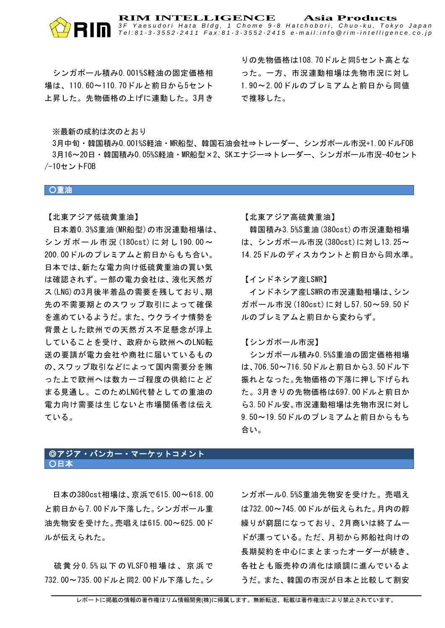# シンガポール積み0.001%S軽油の固定価格相 場は、110.60~110.70ドルと前日から5セント 上昇した。先物価格の上げに連動した。3月き

りの先物価格は108.70ドルと同5セント高とな った。一方、市況連動相場は先物市況に対し 1.90~2.00ドルのプレミアムと前日から同値 で推移した。

※最新の成約は次のとおり

3月中旬・韓国積み0.001%S軽油・MR船型、韓国石油会社⇒トレーダー、シンガポール市況+1.00ドルFOB 3月16~20日・韓国積み0.05%S軽油・MR船型×2、SKエナジー⇒トレーダー、シンガポール市況-40セント /-10セントFOB

**RIM INTELLIGENCE Asia Products**

*3 F Y a e s u d o r i H a t a B l d g , 1 C h o m e 9 - 8 H a t c h o b o r i , C h u o - k u , T o k y o J a p a n* Tel:81-3-3552-2411 Fax:81-3-3552-2415 e-mail:info@rim-intelligence.co.jp

○重油

【北東アジア低硫黄重油】

日本着0.3%S重油(MR船型)の市況連動相場は、 シンガポール市況 (180cst) に対し190.00~ 200.00ドルのプレミアムと前日からもち合い。 日本では、新たな電力向け低硫黄重油の買い気 は確認されず。一部の電力会社は、液化天然ガ ス(LNG)の3月後半着品の需要を残しており、期 先の不需要期とのスワップ取引によって確保 を進めているようだ。また、ウクライナ情勢を 背景とした欧州での天然ガス不足懸念が浮上 していることを受け、政府から欧州へのLNG転 送の要請が電力会社や商社に届いているもの の、スワップ取引などによって国内需要分を賄 った上で欧州へは数カーゴ程度の供給にとど まる見通し。このためLNG代替としての重油の 電力向け需要は生じないと市場関係者は伝え ている。

【北東アジア高硫黄重油】

韓国積み3.5%S重油(380cst)の市況連動相場 は、シンガポール市況(380cst)に対し13.25~ 14.25ドルのディスカウントと前日から同水準。

【インドネシア産LSWR】

インドネシア産LSWRの市況連動相場は、シン ガポール市況(180cst)に対し57.50~59.50ド ルのプレミアムと前日から変わらず。

【シンガポール市況】

シンガポール積み0.5%S重油の固定価格相場 は、706.50~716.50ドルと前日から3.50ドル下 振れとなった。先物価格の下落に押し下げられ た。3月きりの先物価格は697.00ドルと前日か ら3.50ドル安。市況連動相場は先物市況に対し 9.50~19.50ドルのプレミアムと前日からもち 合い。

# ◎アジア・バンカー・マーケットコメント ○日本

日本の380cst相場は、京浜で615.00~618.00 と前日から7.00ドル下落した。シンガポール重 油先物安を受けた。売唱えは615.00~625.00ド ルが伝えられた。

硫黄 分 0.5% 以 下 の VLSF0 相 場 は 、 京 浜 で 732.00~735.00ドルと同2.00ドル下落した。シ

ンガポール0.5%S重油先物安を受けた。売唱え は732.00~745.00ドルが伝えられた。月内の艀 繰りが窮屈になっており、2月商いは終了ムー ドが漂っている。ただ、月初から邦船社向けの 長期契約を中心にまとまったオーダーが続き、 各社とも販売枠の消化は順調に進んでいるよ うだ。また、韓国の市況が日本と比較して割安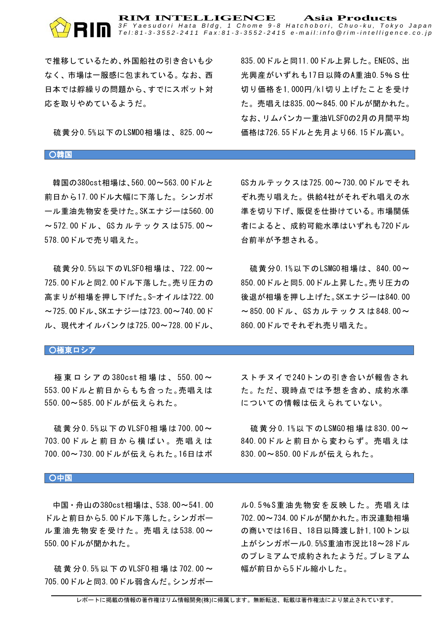#### **RIM INTELLIGENCE Asia Products** *3 F Y a e s u d o r i H a t a B l d g , 1 C h o m e 9 - 8 H a t c h o b o r i , C h u o - k u , T o k y o J a p a n* Tel:81-3-3552-2411 Fax:81-3-3552-2415 e-mail:info@rim-intelligence.co.jp

で推移しているため、外国船社の引き合いも少 なく、市場は一服感に包まれている。なお、西 日本では艀繰りの問題から、すでにスポット対 応を取りやめているようだ。

硫黄分0.5%以下のLSMD0相場は、825.00~

835.00ドルと同11.00ドル上昇した。ENEOS、出 光興産がいずれも17日以降のA重油0.5%S仕 切り価格を1,000円/kl切り上げたことを受け た。売唱えは835.00~845.00ドルが聞かれた。 なお、リムバンカー重油VLSFOの2月の月間平均 価格は726.55ドルと先月より66.15ドル高い。

#### ○韓国

韓国の380cst相場は、560.00~563.00ドルと 前日から17.00ドル大幅に下落した。シンガポ ール重油先物安を受けた。SKエナジーは560.00 ~572.00ドル、GSカルテックスは 575.00~ 578.00ドルで売り唱えた。

硫黄分0.5%以下のVLSF0相場は、722.00~ 725.00ドルと同2.00ドル下落した。売り圧力の 高まりが相場を押し下げた。S-オイルは722.00 ~725.00ドル、SKエナジーは723.00~740.00ド ル、現代オイルバンクは725.00~728.00ドル、

GSカルテックスは725.00~730.00ドルでそれ ぞれ売り唱えた。供給4社がそれぞれ唱えの水 準を切り下げ、販促を仕掛けている。市場関係 者によると、成約可能水準はいずれも720ドル 台前半が予想される。

硫黄分0.1%以下のLSMG0相場は、840.00~ 850.00ドルと同5.00ドル上昇した。売り圧力の 後退が相場を押し上げた。SKエナジーは840.00 ~850.00ドル、GSカルテックスは 848.00~ 860.00ドルでそれぞれ売り唱えた。

#### ┃〇極東ロシア

極 東 ロ シ ア の 380cst 相 場 は 、 550.00 ~ 553.00ドルと前日からもち合った。売唱えは 550.00~585.00ドルが伝えられた。

硫黄分 0.5%以下の VLSF0相場は700.00~ 703.00ドルと前日から横ばい。売唱えは 700.00~730.00ドルが伝えられた。16日はボ ストチヌイで240トンの引き合いが報告され た。ただ、現時点では予想を含め、成約水準 についての情報は伝えられていない。

硫黄分 0.1%以下の LSMG0 相場は 830.00~ 840.00ドルと前日から変わらず。売唱えは 830.00~850.00ドルが伝えられた。

#### ○中国

中国・舟山の380cst相場は、538.00~541.00 ドルと前日から5.00ドル下落した。シンガポー ル重油先物安を受けた。売唱えは538.00~ 550.00ドルが聞かれた。

硫黄分 0.5% 以下の VLSF0 相場は 702.00~ 705.00ドルと同3.00ドル弱含んだ。シンガポー ル0.5%S重油先物安を反映した。売唱えは 702.00~734.00ドルが聞かれた。市況連動相場 の商いでは16日、18日以降渡し計1,100トン以 上がシンガポール0.5%S重油市況比18~28ドル のプレミアムで成約されたようだ。プレミアム 幅が前日から5ドル縮小した。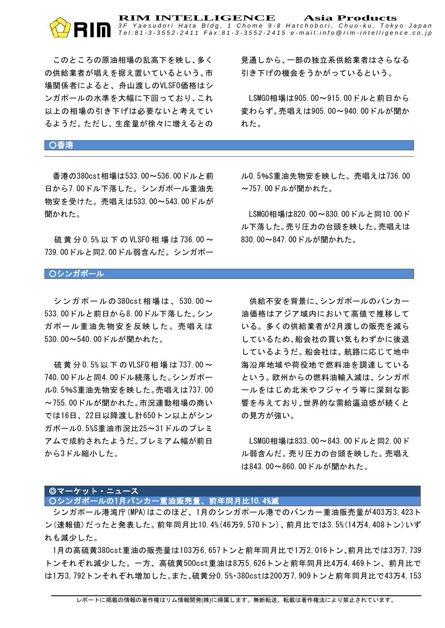#### **RIM INTELLIGENCE Asia Products** *3 F Y a e s u d o r i H a t a B l d g , 1 C h o m e 9 - 8 H a t c h o b o r i , C h u o - k u , T o k y o J a p a n* Tel:81-3-3552-2411 Fax:81-3-3552-2415 e-mail:info@rim-intelligence.co.jp

このところの原油相場の乱高下を映し、多く の供給業者が唱えを据え置いているという。市 場関係者によると、舟山渡しのVLSFO価格はシ ンガポールの水準を大幅に下回っており、これ 以上の相場の引き下げは必要ないと考えてい るようだ。ただし、生産量が徐々に増えるとの

見通しから、一部の独立系供給業者はさらなる 引き下げの機会をうかがっているという。

LSMGO相場は905.00~915.00ドルと前日から 変わらず。売唱えは905.00~940.00ドルが聞か れた。

# ○香港

L

香港の380cst相場は533.00~536.00ドルと前 日から7.00ドル下落した。シンガポール重油先 物安を受けた。売唱えは533.00~543.00ドルが 聞かれた。

硫黄分 0.5% 以 下 の VLSF0 相 場 は 736.00 ~ 739.00ドルと同2.00ドル弱含んだ。シンガポー

ル0.5%S重油先物安を映した。売唱えは736.00 ~757.00ドルが聞かれた。

LSMGO相場は820.00~830.00ドルと同10.00ド ル下落した。売り圧力の台頭を映した。売唱えは 830.00~847.00ドルが聞かれた。

#### ○シンガポール

シンガポールの380cst相場は、530.00~ 533.00ドルと前日から8.00ドル下落した。シン ガポール重油先物安を反映した。売唱えは 530.00~540.00ドルが聞かれた。

硫黄分 0.5% 以下の VLSF0 相場は 737.00~ 740.00ドルと同4.00ドル続落した。シンガポー ル0.5%S重油先物安を映した。売唱えは737.00 ~755.00ドルが聞かれた。市況連動相場の商い では16日、22日以降渡し計650トン以上がシン ガポール0.5%S重油市況比25~31ドルのプレミ アムで成約されたようだ。プレミアム幅が前日 から3ドル縮小した。

供給不安を背景に、シンガポールのバンカー 油価格はアジア域内において高値で推移して いる。多くの供給業者が2月渡しの販売を減ら しているため、船会社の買い気もわずかに後退 しているようだ。船会社は、航路に応じて地中 海沿岸地域や荷役地で燃料油を調達している という。欧州からの燃料油輸入減は、シンガポ ールをはじめ北米やフジャイラ等に深刻な影 響を与えており、世界的な需給逼迫感が続くと の見方が強い。

LSMGO相場は833.00~843.00ドルと同2.00ド ル弱含んだ。売り圧力の台頭を映した。売唱え は843.00~860.00ドルが聞かれた。

# ◎マーケット・ニュース

○シンガポールの1月バンカー重油販売量、前年同月比10.4%減

シンガポール港湾庁(MPA)はこのほど、1月のシンガポール港でのバンカー重油販売量が403万3,423ト ン(速報値)だったと発表した。前年同月比10.4%(46万9,570トン)、前月比では3.5%(14万4,408トン)いず れも減少した。

1月の高硫黄380cst重油の販売量は103万6,657トンと前年同月比で1万2,016トン、前月比では3万7,739 トンそれぞれ減少した。一方、高硫黄500cst重油は8万5,626トンと前年同月比4万4,469トン、前月比で は1万3,792トンそれぞれ増加した。また、硫黄分0.5%・380cstは200万7,909トンと前年同月比で43万4,153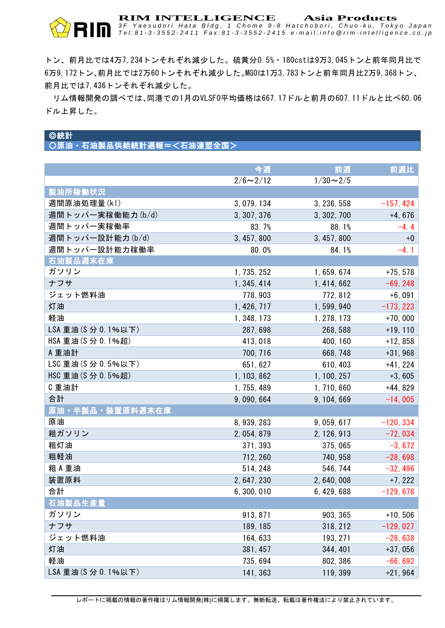

トン、前月比では4万7,234トンそれぞれ減少した。硫黄分0.5%・180cstは9万3,045トンと前年同月比で 6万9,172トン、前月比では2万60トンそれぞれ減少した。MGOは1万3,783トンと前年同月比2万9,368トン、 前月比では7,436トンそれぞれ減少した。

リム情報開発の調べでは、同港での1月のVLSFO平均価格は667.17ドルと前月の607.11ドルと比べ60.06 ドル上昇した。

# ◎統計

○原油・石油製品供給統計週報=<石油連盟全国>

|                     | 今週              | 前週              | 前週比         |
|---------------------|-----------------|-----------------|-------------|
|                     | $2/6 \sim 2/12$ | $1/30 \sim 2/5$ |             |
| 製油所稼働状況             |                 |                 |             |
| 週間原油処理量(kl)         | 3, 079, 134     | 3, 236, 558     | $-157, 424$ |
| 週間トッパー実稼働能力(b/d)    | 3, 307, 376     | 3, 302, 700     | $+4, 676$   |
| 週間トッパ一実稼働率          | 83.7%           | 88.1%           | $-4.4$      |
| 週間トッパー設計能力(b/d)     | 3, 457, 800     | 3, 457, 800     | $+0$        |
| 週間トッパー設計能力稼働率       | 80.0%           | 84.1%           | $-4.1$      |
| 石油製品週末在庫            |                 |                 |             |
| ガソリン                | 1, 735, 252     | 1, 659, 674     | $+75, 578$  |
| ナフサ                 | 1, 345, 414     | 1, 414, 662     | $-69, 248$  |
| ジェット燃料油             | 778, 903        | 772, 812        | $+6,091$    |
| 灯油                  | 1, 426, 717     | 1, 599, 940     | $-173, 223$ |
| 軽油                  | 1, 348, 173     | 1, 278, 173     | $+70,000$   |
| LSA 重油(S 分 0.1%以下)  | 287, 698        | 268, 588        | $+19, 110$  |
| HSA 重油(S 分 0.1%超)   | 413, 018        | 400, 160        | $+12,858$   |
| A 重油計               | 700, 716        | 668, 748        | $+31,968$   |
| LSC 重油 (S 分 0.5%以下) | 651, 627        | 610, 403        | $+41, 224$  |
| HSC 重油 (S 分 0.5%超)  | 1, 103, 862     | 1, 100, 257     | $+3,605$    |
| C 重油計               | 1, 755, 489     | 1, 710, 660     | $+44,829$   |
| 合計                  | 9,090,664       | 9, 104, 669     | $-14,005$   |
| 原油 · 半製品 · 装置原料週末在庫 |                 |                 |             |
| 原油                  | 8, 939, 283     | 9, 059, 617     | $-120, 334$ |
| 粗ガソリン               | 2, 054, 879     | 2, 126, 913     | $-72,034$   |
| 粗灯油                 | 371, 393        | 375, 065        | $-3, 672$   |
| 粗軽油                 | 712, 260        | 740, 958        | $-28,698$   |
| 粗A重油                | 514, 248        | 546, 744        | $-32, 496$  |
| 装置原料                | 2, 647, 230     | 2, 640, 008     | $+7, 222$   |
| 合計                  | 6,300,010       | 6, 429, 688     | $-129,678$  |
| 石油製品生産量             |                 |                 |             |
| ガソリン                | 913, 871        | 903, 365        | $+10, 506$  |
| ナフサ                 | 189, 185        | 318, 212        | $-129,027$  |
| ジェット燃料油             | 164, 633        | 193, 271        | $-28,638$   |
| 灯油                  | 381, 457        | 344, 401        | $+37,056$   |
| 軽油                  | 735, 694        | 802, 386        | $-66, 692$  |
| LSA 重油 (S 分 0.1%以下) | 141, 363        | 119, 399        | $+21,964$   |

レポートに掲載の情報の著作権はリム情報開発(株)に帰属します。無断転送、転載は著作権法により禁止されています。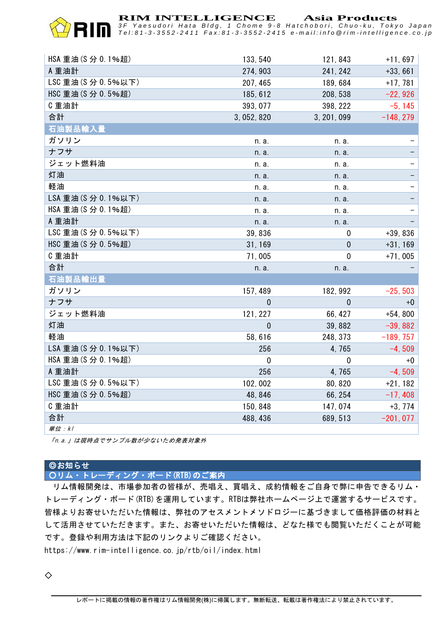

**RIM INTELLIGENCE Asia Products**

*3 F Y a e s u d o r i H a t a B l d g , 1 C h o m e 9 - 8 H a t c h o b o r i , C h u o - k u , T o k y o J a p a n* Tel:81-3-3552-2411 Fax:81-3-3552-2415 e-mail:info@rim-intelligence.co.jp

| HSA 重油(S 分 0.1%超)   | 133, 540     | 121, 843     | $+11,697$   |
|---------------------|--------------|--------------|-------------|
| A 重油計               | 274, 903     | 241, 242     | $+33,661$   |
| LSC 重油 (S 分 0.5%以下) | 207, 465     | 189, 684     | $+17,781$   |
| HSC 重油 (S 分 0.5%超)  | 185, 612     | 208, 538     | $-22,926$   |
| C重油計                | 393, 077     | 398, 222     | $-5, 145$   |
| 合計                  | 3, 052, 820  | 3, 201, 099  | $-148, 279$ |
| 石油製品輸入量             |              |              |             |
| ガソリン                | n. a.        | n. a.        |             |
| ナフサ                 | n. a.        | n. a.        |             |
| ジェット燃料油             | n. a.        | n. a.        |             |
| 灯油                  | n. a.        | n. a.        |             |
| 軽油                  | n. a.        | n. a.        |             |
| LSA 重油 (S 分 0.1%以下) | n. a.        | n. a.        |             |
| HSA 重油 (S 分 0.1%超)  | n. a.        | n. a.        |             |
| A 重油計               | n. a.        | n. a.        |             |
| LSC 重油 (S 分 0.5%以下) | 39,836       | 0            | $+39,836$   |
| HSC 重油 (S 分 0.5%超)  | 31, 169      | $\mathbf{0}$ | $+31, 169$  |
| C重油計                | 71,005       | $\mathbf 0$  | $+71,005$   |
| 合計                  | n. a.        | n. a.        |             |
| 石油製品輸出量             |              |              |             |
| ガソリン                | 157, 489     | 182, 992     | $-25, 503$  |
| ナフサ                 | $\mathbf{0}$ | $\theta$     | $+0$        |
| ジェット燃料油             | 121, 227     | 66, 427      | $+54,800$   |
| 灯油                  | $\mathbf{0}$ | 39,882       | $-39,882$   |
| 軽油                  | 58,616       | 248, 373     | $-189, 757$ |
| LSA 重油(S 分 0.1%以下)  | 256          | 4,765        | $-4, 509$   |
| HSA 重油 (S 分 0.1%超)  | $\mathbf 0$  | $\mathbf 0$  | +0          |
| A 重油計               | 256          | 4,765        | $-4, 509$   |
| LSC 重油 (S 分 0.5%以下) | 102,002      | 80, 820      | $+21, 182$  |
| HSC 重油 (S 分 0.5%超)  | 48, 846      | 66, 254      | $-17,408$   |
| C重油計                | 150, 848     | 147, 074     | $+3, 774$   |
| 合計                  | 488, 436     | 689, 513     | $-201,077$  |
| <i>単位:kl</i>        |              |              |             |

「n.a.」は現時点でサンプル数が少ないため発表対象外

# ◎お知らせ

○リム・トレーディング・ボード(RTB)のご案内

リム情報開発は、市場参加者の皆様が、売唱え、買唱え、成約情報をご自身で弊に申告できるリム・ トレーディング・ボード(RTB)を運用しています。RTBは弊社ホームページ上で運営するサービスです。 皆様よりお寄せいただいた情報は、弊社のアセスメントメソドロジーに基づきまして価格評価の材料と して活用させていただきます。また、お寄せいただいた情報は、どなた様でも閲覧いただくことが可能 です。登録や利用方法は下記のリンクよりご確認ください。

https://www.rim-intelligence.co.jp/rtb/oil/index.html